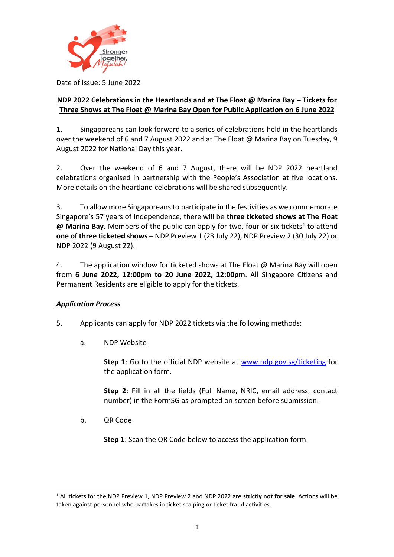

Date of Issue: 5 June 2022

### **NDP 2022 Celebrations in the Heartlands and at The Float @ Marina Bay – Tickets for Three Shows at The Float @ Marina Bay Open for Public Application on 6 June 2022**

1. Singaporeans can look forward to a series of celebrations held in the heartlands over the weekend of 6 and 7 August 2022 and at The Float @ Marina Bay on Tuesday, 9 August 2022 for National Day this year.

2. Over the weekend of 6 and 7 August, there will be NDP 2022 heartland celebrations organised in partnership with the People's Association at five locations. More details on the heartland celebrations will be shared subsequently.

3. To allow more Singaporeans to participate in the festivities as we commemorate Singapore's 57 years of independence, there will be **three ticketed shows at The Float @ Marina Bay**. Members of the public can apply for two, four or six tickets<sup>1</sup> to attend **one of three ticketed shows** – NDP Preview 1 (23 July 22), NDP Preview 2 (30 July 22) or NDP 2022 (9 August 22).

4. The application window for ticketed shows at The Float  $\omega$  Marina Bay will open from **6 June 2022, 12:00pm to 20 June 2022, 12:00pm**. All Singapore Citizens and Permanent Residents are eligible to apply for the tickets.

# *Application Process*

- 5. Applicants can apply for NDP 2022 tickets via the following methods:
	- a. NDP Website

**Step 1**: Go to the official NDP website at [www.ndp.gov.sg/ticketing](http://www.ndp.gov.sg/ticketing) for the application form.

**Step 2**: Fill in all the fields (Full Name, NRIC, email address, contact number) in the FormSG as prompted on screen before submission.

b. QR Code

**-**

**Step 1**: Scan the QR Code below to access the application form.

<sup>1</sup> All tickets for the NDP Preview 1, NDP Preview 2 and NDP 2022 are **strictly not for sale**. Actions will be taken against personnel who partakes in ticket scalping or ticket fraud activities.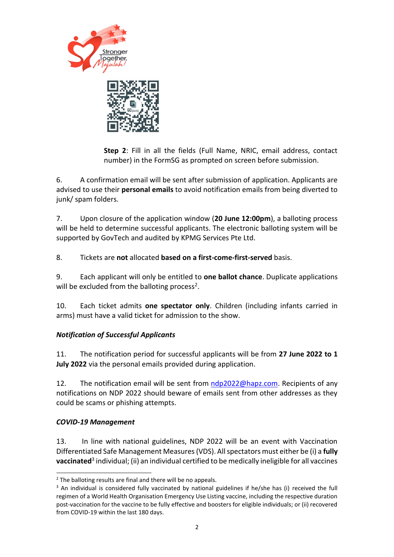



**Step 2**: Fill in all the fields (Full Name, NRIC, email address, contact number) in the FormSG as prompted on screen before submission.

6. A confirmation email will be sent after submission of application. Applicants are advised to use their **personal emails** to avoid notification emails from being diverted to junk/ spam folders.

7. Upon closure of the application window (**20 June 12:00pm**), a balloting process will be held to determine successful applicants. The electronic balloting system will be supported by GovTech and audited by KPMG Services Pte Ltd.

8. Tickets are **not** allocated **based on a first-come-first-served** basis.

9. Each applicant will only be entitled to **one ballot chance**. Duplicate applications will be excluded from the balloting process<sup>2</sup>.

10. Each ticket admits **one spectator only**. Children (including infants carried in arms) must have a valid ticket for admission to the show.

# *Notification of Successful Applicants*

11. The notification period for successful applicants will be from **27 June 2022 to 1 July 2022** via the personal emails provided during application.

12. The notification email will be sent from [ndp2022@hapz.com.](mailto:ndp2022@hapz.com) Recipients of any notifications on NDP 2022 should beware of emails sent from other addresses as they could be scams or phishing attempts.

### *COVID-19 Management*

**-**

13. In line with national guidelines, NDP 2022 will be an event with Vaccination Differentiated Safe Management Measures (VDS). All spectators must either be (i) a **fully vaccinated**<sup>3</sup> individual; (ii) an individual certified to be medically ineligible for all vaccines

 $2$  The balloting results are final and there will be no appeals.

<sup>&</sup>lt;sup>3</sup> An individual is considered fully vaccinated by national guidelines if he/she has (i) received the full regimen of a World Health Organisation Emergency Use Listing vaccine, including the respective duration post-vaccination for the vaccine to be fully effective and boosters for eligible individuals; or (ii) recovered from COVID-19 within the last 180 days.